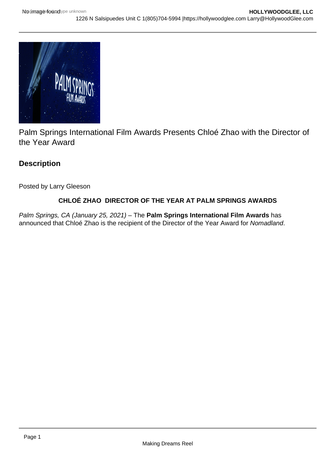

Palm Springs International Film Awards Presents Chloé Zhao with the Director of the Year Award

# **Description**

Posted by Larry Gleeson

## **CHLOÉ ZHAO DIRECTOR OF THE YEAR AT PALM SPRINGS AWARDS**

Palm Springs, CA (January 25, 2021) – The **Palm Springs International Film Awards** has announced that Chloé Zhao is the recipient of the Director of the Year Award for Nomadland.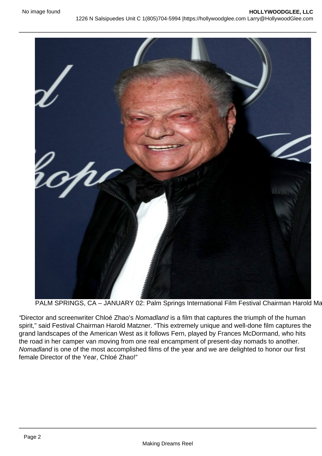PALM SPRINGS, CA - JANUARY 02: Palm Springs International Film Festival Chairman Harold Ma

"Director and screenwriter Chloé Zhao's Nomadland is a film that captures the triumph of the human spirit," said Festival Chairman Harold Matzner. "This extremely unique and well-done film captures the grand landscapes of the American West as it follows Fern, played by Frances McDormand, who hits the road in her camper van moving from one real encampment of present-day nomads to another. Nomadland is one of the most accomplished films of the year and we are delighted to honor our first female Director of the Year, Chloé Zhao!"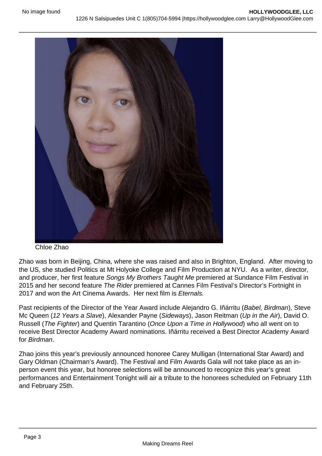#### Chloe Zhao

Zhao was born in Beijing, China, where she was raised and also in Brighton, England. After moving to the US, she studied Politics at Mt Holyoke College and Film Production at NYU. As a writer, director, and producer, her first feature Songs My Brothers Taught Me premiered at Sundance Film Festival in 2015 and her second feature The Rider premiered at Cannes Film Festival's Director's Fortnight in 2017 and won the Art Cinema Awards. Her next film is Eternals.

Past recipients of the Director of the Year Award include Alejandro G. Iñárritu (Babel, Birdman), Steve Mc Queen (12 Years a Slave), Alexander Payne (Sideways), Jason Reitman (Up in the Air), David O. Russell (The Fighter) and Quentin Tarantino (Once Upon a Time in Hollywood) who all went on to receive Best Director Academy Award nominations. Iñárritu received a Best Director Academy Award for Birdman.

Zhao joins this year's previously announced honoree Carey Mulligan (International Star Award) and Gary Oldman (Chairman's Award). The Festival and Film Awards Gala will not take place as an inperson event this year, but honoree selections will be announced to recognize this year's great performances and Entertainment Tonight will air a tribute to the honorees scheduled on February 11th and February 25th.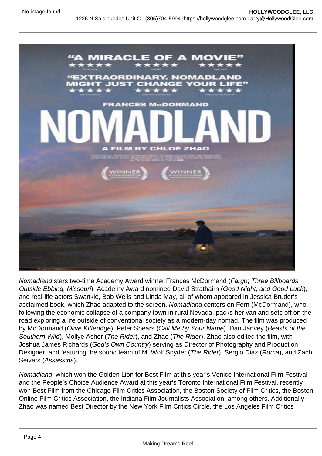Nomadland stars two-time Academy Award winner Frances McDormand (Fargo; Three Billboards Outside Ebbing, Missouri), Academy Award nominee David Strathairn (Good Night, and Good Luck), and real-life actors Swankie, Bob Wells and Linda May, all of whom appeared in Jessica Bruder's acclaimed book, which Zhao adapted to the screen. Nomadland centers on Fern (McDormand), who, following the economic collapse of a company town in rural Nevada, packs her van and sets off on the road exploring a life outside of conventional society as a modern-day nomad. The film was produced by McDormand (Olive Kitteridge), Peter Spears (Call Me by Your Name), Dan Janvey (Beasts of the Southern Wild), Mollye Asher (The Rider), and Zhao (The Rider). Zhao also edited the film, with Joshua James Richards (God's Own Country) serving as Director of Photography and Production Designer, and featuring the sound team of M. Wolf Snyder (The Rider), Sergio Diaz (Roma), and Zach Seivers (Assassins).

Nomadland, which won the Golden Lion for Best Film at this year's Venice International Film Festival and the People's Choice Audience Award at this year's Toronto International Film Festival, recently won Best Film from the Chicago Film Critics Association, the Boston Society of Film Critics, the Boston Online Film Critics Association, the Indiana Film Journalists Association, among others. Additionally, Zhao was named Best Director by the New York Film Critics Circle, the Los Angeles Film Critics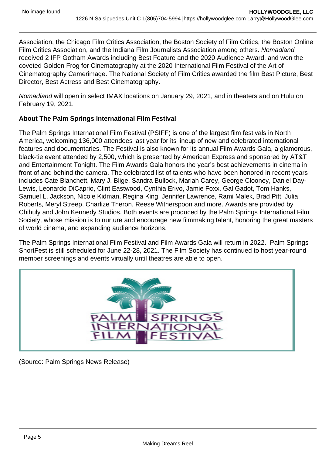Association, the Chicago Film Critics Association, the Boston Society of Film Critics, the Boston Online Film Critics Association, and the Indiana Film Journalists Association among others. Nomadland received 2 IFP Gotham Awards including Best Feature and the 2020 Audience Award, and won the coveted Golden Frog for Cinematography at the 2020 International Film Festival of the Art of Cinematography Camerimage. The National Society of Film Critics awarded the film Best Picture, Best Director, Best Actress and Best Cinematography.

Nomadland will open in select IMAX locations on January 29, 2021, and in theaters and on Hulu on February 19, 2021.

About The Palm Springs International Film Festival

The Palm Springs International Film Festival (PSIFF) is one of the largest film festivals in North America, welcoming 136,000 attendees last year for its lineup of new and celebrated international features and documentaries. The Festival is also known for its annual Film Awards Gala, a glamorous, black-tie event attended by 2,500, which is presented by American Express and sponsored by AT&T and Entertainment Tonight. The Film Awards Gala honors the year's best achievements in cinema in front of and behind the camera. The celebrated list of talents who have been honored in recent years includes Cate Blanchett, Mary J. Blige, Sandra Bullock, Mariah Carey, George Clooney, Daniel Day-Lewis, Leonardo DiCaprio, Clint Eastwood, Cynthia Erivo, Jamie Foxx, Gal Gadot, Tom Hanks, Samuel L. Jackson, Nicole Kidman, Regina King, Jennifer Lawrence, Rami Malek, Brad Pitt, Julia Roberts, Meryl Streep, Charlize Theron, Reese Witherspoon and more. Awards are provided by Chihuly and John Kennedy Studios. Both events are produced by the Palm Springs International Film Society, whose mission is to nurture and encourage new filmmaking talent, honoring the great masters of world cinema, and expanding audience horizons.

The Palm Springs International Film Festival and Film Awards Gala will return in 2022. Palm Springs ShortFest is still scheduled for June 22-28, 2021. The Film Society has continued to host year-round member screenings and events virtually until theatres are able to open.

(Source: Palm Springs News Release)